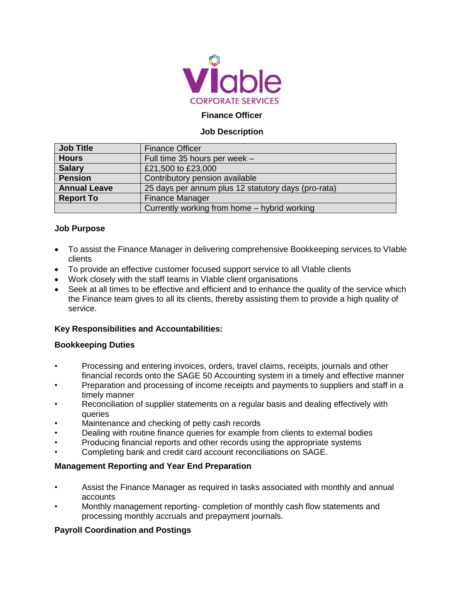

## **Finance Officer**

#### **Job Description**

| <b>Job Title</b>    | <b>Finance Officer</b>                              |
|---------------------|-----------------------------------------------------|
| <b>Hours</b>        | Full time 35 hours per week -                       |
| <b>Salary</b>       | £21,500 to £23,000                                  |
| <b>Pension</b>      | Contributory pension available                      |
| <b>Annual Leave</b> | 25 days per annum plus 12 statutory days (pro-rata) |
| <b>Report To</b>    | <b>Finance Manager</b>                              |
|                     | Currently working from home – hybrid working        |

#### **Job Purpose**

- To assist the Finance Manager in delivering comprehensive Bookkeeping services to VIable clients
- To provide an effective customer focused support service to all VIable clients
- Work closely with the staff teams in VIable client organisations
- Seek at all times to be effective and efficient and to enhance the quality of the service which the Finance team gives to all its clients, thereby assisting them to provide a high quality of service.

### **Key Responsibilities and Accountabilities:**

#### **Bookkeeping Duties**

- Processing and entering invoices, orders, travel claims, receipts, journals and other financial records onto the SAGE 50 Accounting system in a timely and effective manner
- Preparation and processing of income receipts and payments to suppliers and staff in a timely manner
- Reconciliation of supplier statements on a regular basis and dealing effectively with queries
- Maintenance and checking of petty cash records
- Dealing with routine finance queries for example from clients to external bodies
- Producing financial reports and other records using the appropriate systems
- Completing bank and credit card account reconciliations on SAGE.

### **Management Reporting and Year End Preparation**

- Assist the Finance Manager as required in tasks associated with monthly and annual accounts
- Monthly management reporting- completion of monthly cash flow statements and processing monthly accruals and prepayment journals.

### **Payroll Coordination and Postings**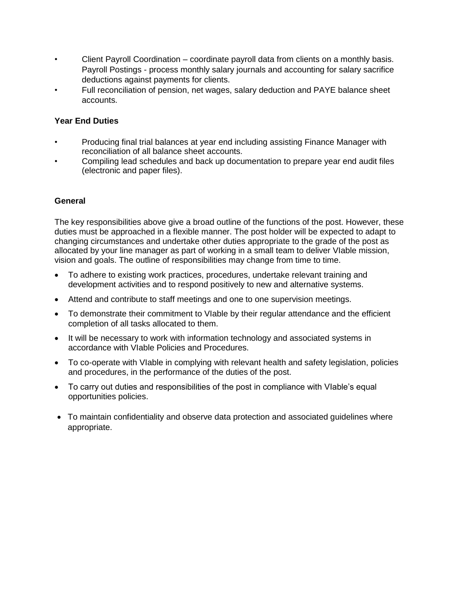- Client Payroll Coordination coordinate payroll data from clients on a monthly basis. Payroll Postings - process monthly salary journals and accounting for salary sacrifice deductions against payments for clients.
- Full reconciliation of pension, net wages, salary deduction and PAYE balance sheet accounts.

## **Year End Duties**

- Producing final trial balances at year end including assisting Finance Manager with reconciliation of all balance sheet accounts.
- Compiling lead schedules and back up documentation to prepare year end audit files (electronic and paper files).

### **General**

The key responsibilities above give a broad outline of the functions of the post. However, these duties must be approached in a flexible manner. The post holder will be expected to adapt to changing circumstances and undertake other duties appropriate to the grade of the post as allocated by your line manager as part of working in a small team to deliver VIable mission, vision and goals. The outline of responsibilities may change from time to time.

- To adhere to existing work practices, procedures, undertake relevant training and development activities and to respond positively to new and alternative systems.
- Attend and contribute to staff meetings and one to one supervision meetings.
- To demonstrate their commitment to Vlable by their regular attendance and the efficient completion of all tasks allocated to them.
- It will be necessary to work with information technology and associated systems in accordance with VIable Policies and Procedures.
- To co-operate with VIable in complying with relevant health and safety legislation, policies and procedures, in the performance of the duties of the post.
- To carry out duties and responsibilities of the post in compliance with VIable's equal opportunities policies.
- To maintain confidentiality and observe data protection and associated guidelines where appropriate.